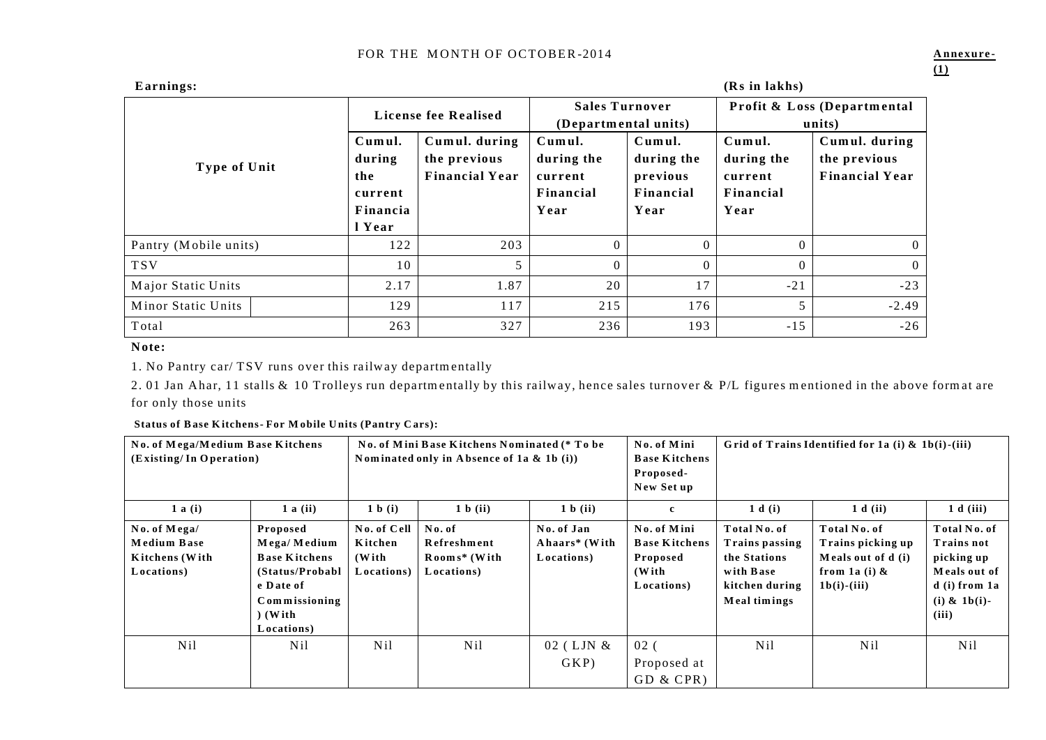| Earnings:             | (Rs in lakhs)                                            |                                                        |                                                      |                                                       |                                                      |                                                        |  |
|-----------------------|----------------------------------------------------------|--------------------------------------------------------|------------------------------------------------------|-------------------------------------------------------|------------------------------------------------------|--------------------------------------------------------|--|
|                       | License fee Realised                                     |                                                        | <b>Sales Turnover</b><br>(Departmental units)        |                                                       | Profit & Loss (Departmental<br>units)                |                                                        |  |
| <b>Type of Unit</b>   | Cumul.<br>during<br>the<br>current<br>Financia<br>l Year | Cumul. during<br>the previous<br><b>Financial Year</b> | Cumul.<br>during the<br>current<br>Financial<br>Year | Cumul.<br>during the<br>previous<br>Financial<br>Year | Cumul.<br>during the<br>current<br>Financial<br>Year | Cumul. during<br>the previous<br><b>Financial Year</b> |  |
| Pantry (Mobile units) | 122                                                      | 203                                                    | $\Omega$                                             | $\Omega$                                              |                                                      | $\Omega$                                               |  |
| <b>TSV</b>            | 10                                                       | 5                                                      | $\Omega$                                             | $\Omega$                                              |                                                      | $\Omega$                                               |  |
| Major Static Units    | 2.17                                                     | 1.87                                                   | 20                                                   | 17                                                    | $-21$                                                | $-23$                                                  |  |
| Minor Static Units    | 129                                                      | 117                                                    | 215                                                  | 176                                                   | 5                                                    | $-2.49$                                                |  |
| Total                 | 263                                                      | 327                                                    | 236                                                  | 193                                                   | $-15$                                                | $-26$                                                  |  |

### Note:

1. No Pantry car/ TSV runs over this railway departmentally

2.01 Jan Ahar, 11 stalls & 10 Trolleys run departmentally by this railway, hence sales turnover & P/L figures mentioned in the above format are for only those units

| <b>Status of Base Kitchens-For Mobile Units (Pantry Cars):</b> |  |  |  |
|----------------------------------------------------------------|--|--|--|
|                                                                |  |  |  |

| (Existing/In Operation)                                            | No. of Mega/Medium Base Kitchens<br>No. of Mini Base Kitchens Nominated (* To be<br>No. of Mini<br>Nominated only in Absence of 1a $\&$ 1b (i))<br><b>Base Kitchens</b><br>Proposed-<br>New Set up |                                                | Grid of Trains Identified for 1a (i) $\&$ 1b(i)-(iii) |                                           |                                                                        |                                                                                               |                                                                                              |                                                                                                                |
|--------------------------------------------------------------------|----------------------------------------------------------------------------------------------------------------------------------------------------------------------------------------------------|------------------------------------------------|-------------------------------------------------------|-------------------------------------------|------------------------------------------------------------------------|-----------------------------------------------------------------------------------------------|----------------------------------------------------------------------------------------------|----------------------------------------------------------------------------------------------------------------|
| $1$ a (i)                                                          | $1$ a (ii)                                                                                                                                                                                         | 1 b (i)                                        | 1 b (ii)                                              | 1 b (ii)                                  | $\mathbf c$                                                            | 1 d(i)                                                                                        | 1 d (ii)                                                                                     | 1 d (iii)                                                                                                      |
| No. of Mega/<br><b>Medium Base</b><br>Kitchens (With<br>Locations) | Proposed<br>Mega/Medium<br><b>Base Kitchens</b><br>(Status/Probabl)<br>e Date of<br>Commissioning<br>$)$ (With<br>Locations)                                                                       | No. of Cell<br>Kitchen<br>(With)<br>Locations) | No. of<br>Refreshment<br>Rooms* (With<br>Locations)   | No. of Jan<br>Ahaars* (With<br>Locations) | No. of Mini<br><b>Base Kitchens</b><br>Proposed<br>(With<br>Locations) | Total No. of<br>Trains passing<br>the Stations<br>with Base<br>kitchen during<br>Meal timings | Total No. of<br>Trains picking up<br>Meals out of d (i)<br>from 1a (i) $\&$<br>$1b(i)-(iii)$ | Total No. of<br><b>Trains not</b><br>picking up<br>Meals out of<br>$d$ (i) from 1a<br>(i) $\&$ 1b(i)-<br>(iii) |
| N <sub>il</sub>                                                    | N <sub>il</sub>                                                                                                                                                                                    | N <sub>il</sub>                                | Nil                                                   | 02 (LJN &<br>GKP                          | 02 <sub>0</sub><br>Proposed at<br>GD & CPR                             | N <sub>il</sub>                                                                               | N <sub>il</sub>                                                                              | N <sub>il</sub>                                                                                                |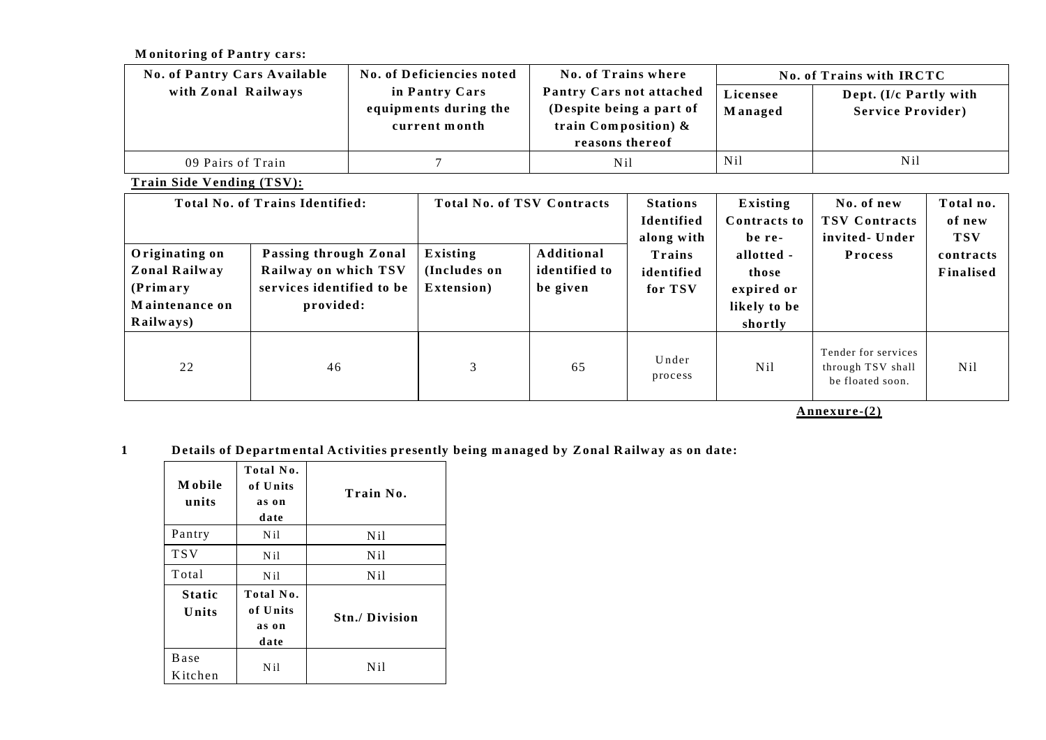**Monitoring of Pantry cars:** 

| <b>No. of Pantry Cars Available</b> | No. of Deficiencies noted                                | No. of Trains where                                                                                |                     | No. of Trains with IRCTC                           |
|-------------------------------------|----------------------------------------------------------|----------------------------------------------------------------------------------------------------|---------------------|----------------------------------------------------|
| with Zonal Railways                 | in Pantry Cars<br>equipments during the<br>current month | Pantry Cars not attached<br>(Despite being a part of<br>train Composition) $\&$<br>reasons thereof | Licensee<br>Managed | Dept. (I/c Partly with<br><b>Service Provider)</b> |
| 09 Pairs of Train                   |                                                          | N <sub>il</sub>                                                                                    | N <sub>il</sub>     | Nil                                                |

**Train Side Vending (TSV):** 

| Originating on<br>Zonal Railway<br>(Primary)<br>Maintenance on<br>Railways) | Total No. of Trains Identified:<br>Passing through Zonal<br>Railway on which TSV<br>services identified to be<br>provided: | <b>Total No. of TSV Contracts</b><br>Existing<br>(Includes on<br>Extension) | Additional<br>identified to<br>be given | <b>Stations</b><br>Identified<br>along with<br>Trains<br>identified<br>for TSV | Existing<br>Contracts to<br>be re-<br>allotted -<br>those<br>expired or<br>likely to be<br>shortly | No. of new<br><b>TSV Contracts</b><br>invited - Under<br><b>Process</b> | Total no.<br>of new<br><b>TSV</b><br>contracts<br>Finalised |
|-----------------------------------------------------------------------------|----------------------------------------------------------------------------------------------------------------------------|-----------------------------------------------------------------------------|-----------------------------------------|--------------------------------------------------------------------------------|----------------------------------------------------------------------------------------------------|-------------------------------------------------------------------------|-------------------------------------------------------------|
| 22                                                                          | 46                                                                                                                         | 3                                                                           | 65                                      | Under<br>process                                                               | N <sub>il</sub>                                                                                    | Tender for services<br>through TSV shall<br>be floated soon.            | Nil                                                         |

**A nnexure -(2)**

1 **Details of Departmental Activities presently being managed by Zonal Railway as on date:** 

| M obile<br>units        | Total No.<br>of Units<br>as on<br>date | Train No.            |
|-------------------------|----------------------------------------|----------------------|
| Pantry                  | N <sub>il</sub>                        | Ni1                  |
| <b>TSV</b>              | N <sub>il</sub>                        | N <sub>il</sub>      |
| Total                   | N <sub>il</sub>                        | Ni1                  |
| <b>Static</b><br>Units  | Total No.<br>of Units<br>as on<br>date | <b>Stn./Division</b> |
| <b>B</b> ase<br>Kitchen | N <sub>il</sub>                        | Ni1                  |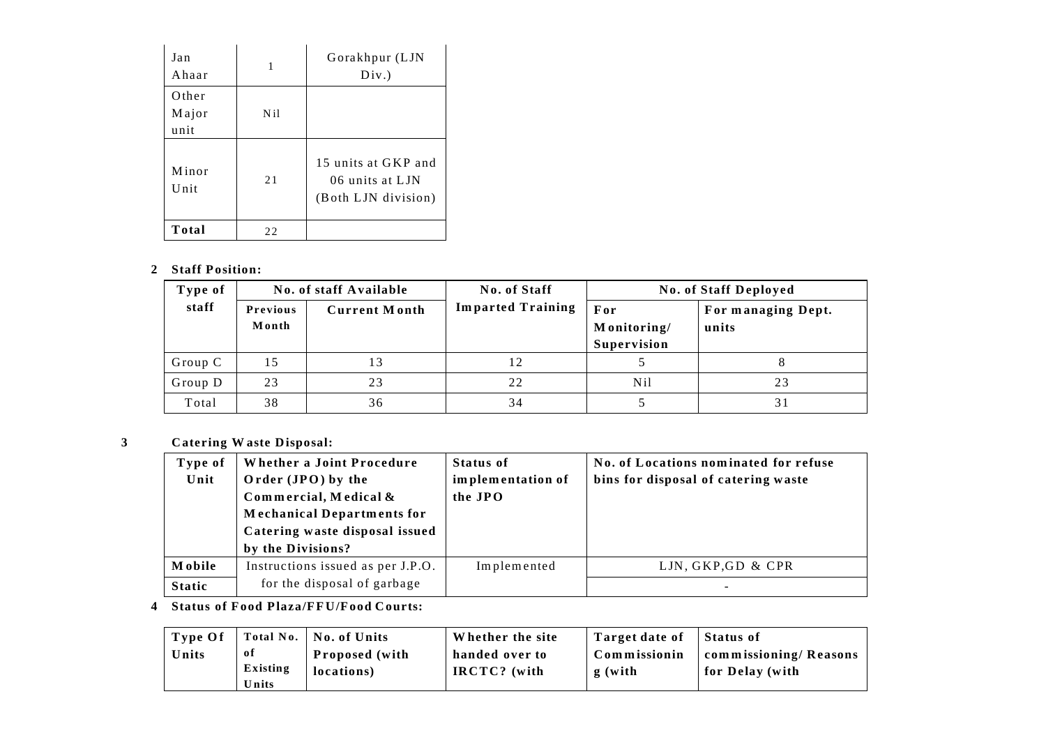| Jan<br>Ahaar           | 1               | Gorakhpur (LJN<br>Div.)                                       |
|------------------------|-----------------|---------------------------------------------------------------|
| Other<br>Major<br>unit | N <sub>il</sub> |                                                               |
| Minor<br>Unit          | 21              | 15 units at GKP and<br>06 units at LJN<br>(Both LJN division) |
| Total                  | 22              |                                                               |

# 2 Staff Position:

| Type of |                          | No. of staff Available | No. of Staff             | <b>No. of Staff Deployed</b>      |                             |  |
|---------|--------------------------|------------------------|--------------------------|-----------------------------------|-----------------------------|--|
| staff   | <b>Previous</b><br>Month | <b>Current Month</b>   | <b>Imparted Training</b> | For<br>Monitoring/<br>Supervision | For managing Dept.<br>units |  |
| Group C | 15                       | 13                     |                          |                                   |                             |  |
| Group D | 23                       | 23                     | 22                       | N <sub>il</sub>                   | 23                          |  |
| Total   | 38                       | 36                     | 34                       |                                   |                             |  |

#### $\mathbf{3}$ **Catering Waste Disposal:**

| Type of<br>Unit | Whether a Joint Procedure<br>Order (JPO) by the<br>Commercial, Medical &<br><b>Mechanical Departments for</b><br>Catering waste disposal issued<br>by the Divisions? | <b>Status of</b><br>implementation of<br>the JPO | No. of Locations nominated for refuse<br>bins for disposal of catering waste |
|-----------------|----------------------------------------------------------------------------------------------------------------------------------------------------------------------|--------------------------------------------------|------------------------------------------------------------------------------|
| <b>Mobile</b>   | Instructions issued as per J.P.O.                                                                                                                                    | Implemented                                      | LJN, GKP, GD & CPR                                                           |
| <b>Static</b>   | for the disposal of garbage                                                                                                                                          |                                                  |                                                                              |

# 4 Status of Food Plaza/FFU/Food Courts:

| Type Of |          | Total No.   No. of Units | Whether the site | Target date of | Status of             |
|---------|----------|--------------------------|------------------|----------------|-----------------------|
| Units   | оf       | <b>Proposed</b> (with    | handed over to   | Commissionin   | commissioning/Reasons |
|         | Existing | locations)               | IRCTC? (with     | g (with        | for Delay (with       |
|         | Units    |                          |                  |                |                       |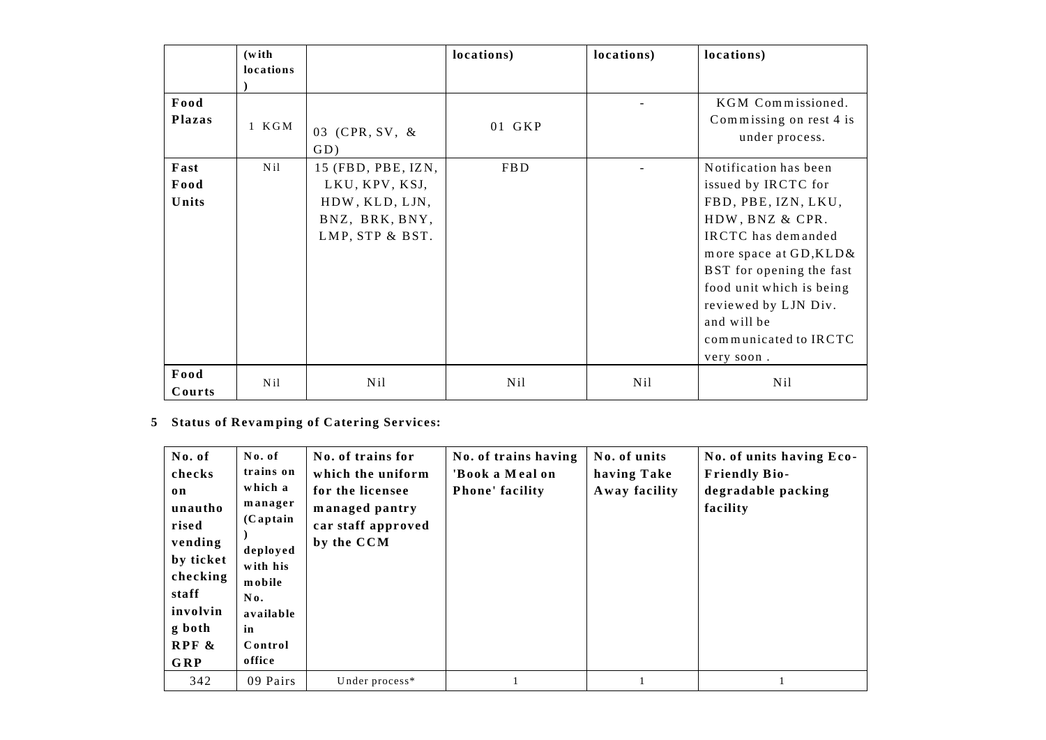|                       | (with)          |                                                                                             | locations) | locations)      | locations)                                                                                                                                                                                                                                                                    |
|-----------------------|-----------------|---------------------------------------------------------------------------------------------|------------|-----------------|-------------------------------------------------------------------------------------------------------------------------------------------------------------------------------------------------------------------------------------------------------------------------------|
|                       | locations       |                                                                                             |            |                 |                                                                                                                                                                                                                                                                               |
| Food<br><b>Plazas</b> | 1 KGM           | 03 (CPR, SV, &<br>$GD$ )                                                                    | 01 GKP     |                 | KGM Commissioned.<br>Commissing on rest 4 is<br>under process.                                                                                                                                                                                                                |
| Fast<br>Food<br>Units | N <sub>il</sub> | 15 (FBD, PBE, IZN,<br>LKU, KPV, KSJ,<br>HDW, KLD, LJN,<br>BNZ, BRK, BNY,<br>LMP, STP & BST. | <b>FBD</b> |                 | Notification has been<br>issued by IRCTC for<br>FBD, PBE, IZN, LKU,<br>HDW, BNZ & CPR.<br>IRCTC has demanded<br>more space at GD, KLD &<br>BST for opening the fast<br>food unit which is being<br>reviewed by LJN Div.<br>and will be<br>communicated to IRCTC<br>very soon. |
| Food<br>Courts        | Nil             | N <sub>il</sub>                                                                             | Nil        | N <sub>il</sub> | N <sub>il</sub>                                                                                                                                                                                                                                                               |

# 5 Status of Revamping of Catering Services:

| No. of<br>checks<br>on<br>unautho<br>rised<br>vending<br>by ticket<br>checking<br>staff<br>involvin<br>g both<br>$RPF$ &<br><b>GRP</b> | No. of<br>trains on<br>which a<br>manager<br>$(C$ aptain<br>deployed<br>with his<br>mobile<br>No.<br>available<br>in<br>Control<br>office | No. of trains for<br>which the uniform<br>for the licensee<br>managed pantry<br>car staff approved<br>by the CCM | No. of trains having<br>'Book a Meal on<br><b>Phone' facility</b> | No. of units<br>having Take<br>Away facility | No. of units having Eco-<br><b>Friendly Bio-</b><br>degradable packing<br>facility |
|----------------------------------------------------------------------------------------------------------------------------------------|-------------------------------------------------------------------------------------------------------------------------------------------|------------------------------------------------------------------------------------------------------------------|-------------------------------------------------------------------|----------------------------------------------|------------------------------------------------------------------------------------|
| 342                                                                                                                                    | 09 Pairs                                                                                                                                  | Under process*                                                                                                   |                                                                   |                                              |                                                                                    |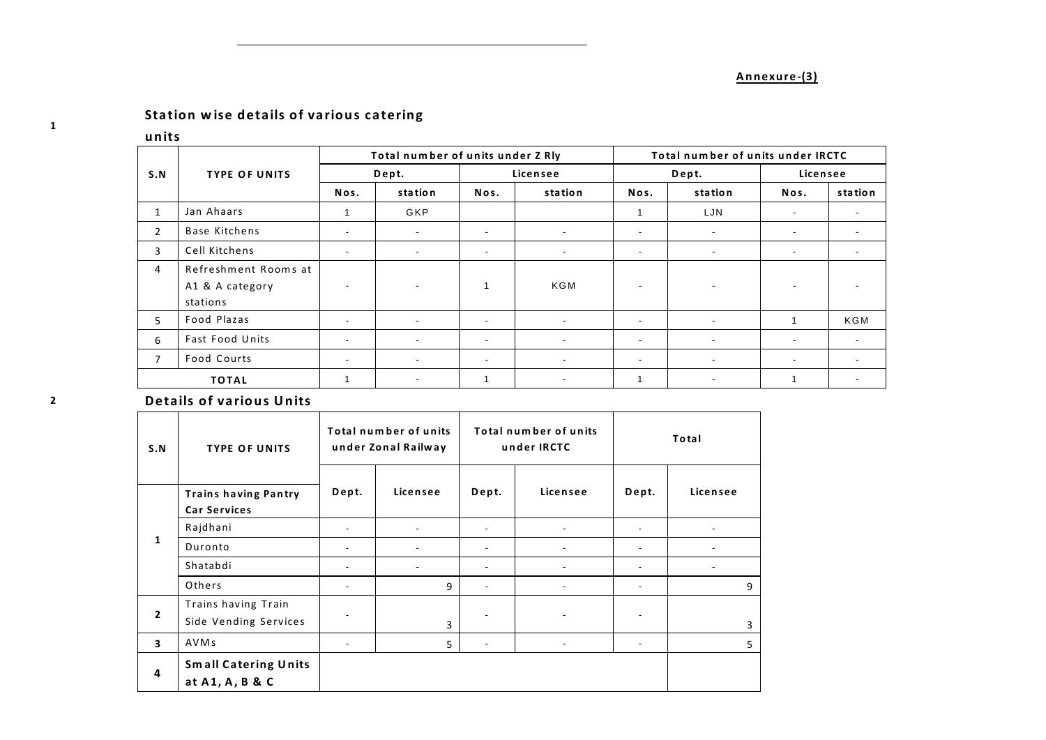# Annexure-(3)

# Station wise details of various catering

### units

|                |                      |                          | Total number of units under Z Rly |                          |                          | Total number of units under IRCTC |                          |                          |                          |
|----------------|----------------------|--------------------------|-----------------------------------|--------------------------|--------------------------|-----------------------------------|--------------------------|--------------------------|--------------------------|
| S.N            | <b>TYPE OF UNITS</b> | Dept.                    |                                   |                          | Licensee                 |                                   | Dept.                    | Licensee                 |                          |
|                |                      | Nos.                     | station                           | Nos.                     | station                  | Nos.                              | station                  | Nos.                     | station                  |
| $\mathbf{1}$   | Jan Ahaars           |                          | GKP                               |                          |                          |                                   | LJN                      | $\overline{\phantom{a}}$ | $\overline{\phantom{a}}$ |
| 2              | <b>Base Kitchens</b> | $\overline{\phantom{a}}$ | $\sim$                            | $\overline{\phantom{a}}$ | $\sim$                   | $\overline{\phantom{a}}$          | $\overline{\phantom{a}}$ | $\overline{\phantom{a}}$ | $\overline{\phantom{a}}$ |
| $\overline{3}$ | Cell Kitchens        | $\overline{\phantom{a}}$ | $\overline{\phantom{a}}$          | $\overline{\phantom{a}}$ | $\overline{\phantom{a}}$ | $\overline{\phantom{a}}$          | $\overline{\phantom{a}}$ | $\blacksquare$           | $\overline{\phantom{a}}$ |
| $\overline{4}$ | Refreshment Rooms at |                          |                                   |                          |                          |                                   |                          |                          |                          |
|                | A1 & A category      | $\overline{\phantom{a}}$ |                                   |                          | KGM                      | ٠                                 | $\overline{\phantom{a}}$ | $\overline{\phantom{a}}$ |                          |
|                | stations             |                          |                                   |                          |                          |                                   |                          |                          |                          |
| 5.             | Food Plazas          | $\overline{\phantom{a}}$ | ۰.                                | $\overline{\phantom{a}}$ | $\sim$                   | $\overline{\phantom{0}}$          | $\overline{\phantom{a}}$ |                          | KGM                      |
| 6              | Fast Food Units      | $\overline{\phantom{a}}$ | $\overline{\phantom{a}}$          | $\overline{\phantom{a}}$ | $\overline{\phantom{a}}$ | $\overline{\phantom{0}}$          | $\overline{\phantom{a}}$ | $\overline{\phantom{a}}$ | $\overline{\phantom{a}}$ |
| 7              | Food Courts          | $\overline{\phantom{a}}$ | $\overline{\phantom{a}}$          | $\overline{\phantom{a}}$ | $\sim$                   | $\overline{\phantom{0}}$          | $\overline{\phantom{a}}$ | $\overline{\phantom{a}}$ | $\overline{\phantom{a}}$ |
|                | <b>TOTAL</b>         |                          | $\overline{\phantom{a}}$          |                          | $\overline{\phantom{a}}$ | $\mathbf{1}$                      | $\overline{\phantom{a}}$ |                          | $\overline{\phantom{a}}$ |

# **Details of various Units**

| S.N                     | <b>TYPE OF UNITS</b>                               | Total number of units<br>under Zonal Railway |                | Total number of units<br>under IRCTC |                          | Total                    |          |
|-------------------------|----------------------------------------------------|----------------------------------------------|----------------|--------------------------------------|--------------------------|--------------------------|----------|
|                         | <b>Trains having Pantry</b><br><b>Car Services</b> | Dept.                                        | Licensee       | Dept.                                | Licensee                 | Dept.                    | Licensee |
|                         | Rajdhani                                           | ۰                                            |                |                                      |                          |                          |          |
| $\mathbf{1}$            | Duronto                                            | $\overline{\phantom{a}}$                     |                |                                      |                          |                          |          |
|                         | Shatabdi                                           | ٠                                            | $\blacksquare$ |                                      |                          | ٠                        |          |
|                         | Others                                             | $\overline{\phantom{a}}$                     | 9              | ۰                                    | $\overline{\phantom{a}}$ | $\overline{\phantom{a}}$ | 9        |
| 2                       | Trains having Train<br>Side Vending Services       |                                              | 3              |                                      |                          |                          | 3        |
| $\overline{\mathbf{3}}$ | AVM <sub>s</sub>                                   | $\overline{\phantom{a}}$                     | 5              | ٠                                    | $\overline{\phantom{a}}$ | $\overline{\phantom{a}}$ | 5        |
| 4                       | <b>Small Catering Units</b><br>at A1, A, B & C     |                                              |                |                                      |                          |                          |          |

 $\mathbf{1}$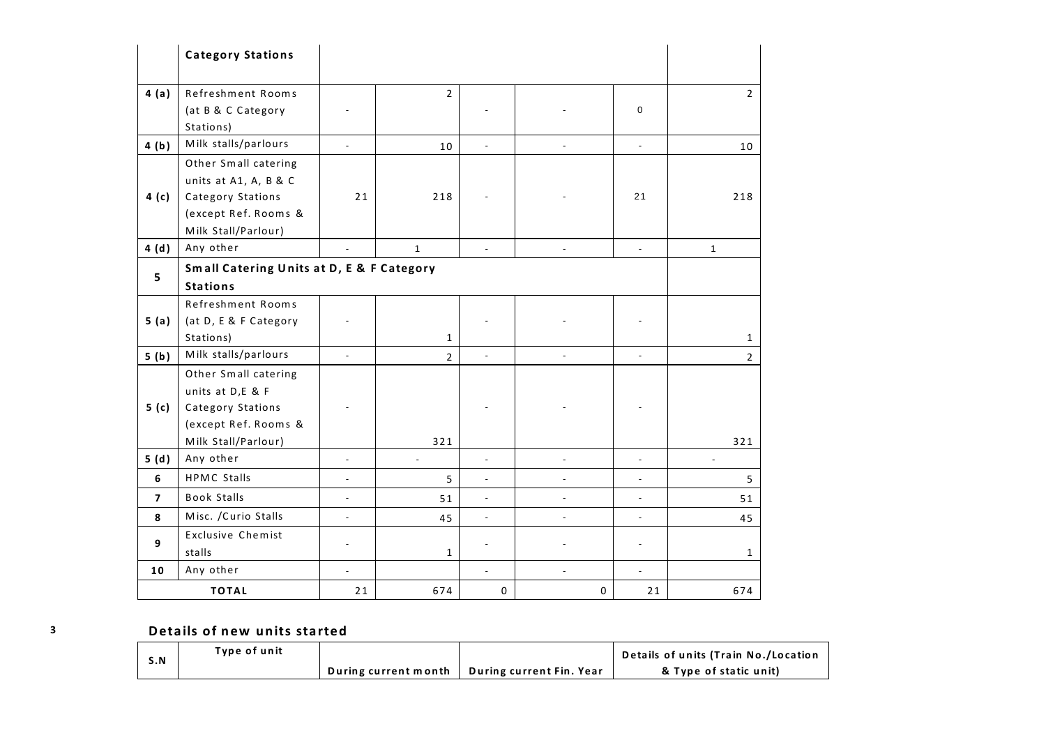|                  | <b>Category Stations</b>                  |                          |                          |                          |                |                          |                |  |  |
|------------------|-------------------------------------------|--------------------------|--------------------------|--------------------------|----------------|--------------------------|----------------|--|--|
| 4(a)             | Refreshment Rooms                         |                          | $\overline{2}$           |                          |                |                          | $\overline{2}$ |  |  |
|                  | (at B & C Category                        |                          |                          |                          |                | $\mathbf 0$              |                |  |  |
|                  | Stations)                                 |                          |                          |                          |                |                          |                |  |  |
| 4(b)             | Milk stalls/parlours                      | $\blacksquare$           | 10                       | $\overline{\phantom{a}}$ |                | $\blacksquare$           | 10             |  |  |
|                  | Other Small catering                      |                          |                          |                          |                |                          |                |  |  |
|                  | units at A1, A, B & C                     |                          |                          |                          |                |                          |                |  |  |
| 4(c)             | Category Stations                         | 21                       | 218                      |                          |                | 21                       | 218            |  |  |
|                  | (except Ref. Rooms &                      |                          |                          |                          |                |                          |                |  |  |
|                  | Milk Stall/Parlour)                       |                          |                          |                          |                |                          |                |  |  |
| 4(d)             | Any other                                 |                          | $\mathbf{1}$             | $\overline{\phantom{a}}$ | $\overline{a}$ | $\overline{\phantom{a}}$ | $\mathbf{1}$   |  |  |
| 5                | Small Catering Units at D, E & F Category |                          |                          |                          |                |                          |                |  |  |
|                  | <b>Stations</b>                           |                          |                          |                          |                |                          |                |  |  |
|                  | Refreshment Rooms                         |                          |                          |                          |                |                          |                |  |  |
| 5(a)             | (at D, E & F Category                     |                          |                          |                          |                |                          |                |  |  |
|                  | Stations)                                 |                          | $\mathbf{1}$             |                          |                |                          | 1              |  |  |
| 5(b)             | Milk stalls/parlours                      |                          | $\overline{2}$           |                          |                |                          | $\overline{2}$ |  |  |
|                  | Other Small catering                      |                          |                          |                          |                |                          |                |  |  |
|                  | units at D,E & F                          |                          |                          |                          |                |                          |                |  |  |
| 5 <sub>(c)</sub> | Category Stations                         |                          |                          |                          |                |                          |                |  |  |
|                  | (except Ref. Rooms &                      |                          |                          |                          |                |                          |                |  |  |
|                  | Milk Stall/Parlour)                       |                          | 321                      |                          |                |                          | 321            |  |  |
| 5(d)             | Any other                                 | $\overline{\phantom{a}}$ | $\overline{\phantom{a}}$ | $\overline{\phantom{a}}$ | ä,             |                          |                |  |  |
| 6                | <b>HPMC Stalls</b>                        | ÷,                       | 5                        | $\overline{\phantom{a}}$ | $\overline{a}$ | $\blacksquare$           | 5              |  |  |
| $\overline{7}$   | <b>Book Stalls</b>                        | $\blacksquare$           | 51                       | $\frac{1}{2}$            | $\overline{a}$ | $\overline{a}$           | 51             |  |  |
| 8                | Misc. / Curio Stalls                      | $\blacksquare$           | 45                       | $\overline{\phantom{a}}$ | ä,             | $\overline{\phantom{a}}$ | 45             |  |  |
|                  | <b>Exclusive Chemist</b>                  |                          |                          |                          |                |                          |                |  |  |
| 9                | stalls                                    |                          | 1                        |                          |                |                          | 1              |  |  |
| 10               | Any other                                 | $\overline{\phantom{a}}$ |                          | $\overline{\phantom{a}}$ | ÷,             | $\blacksquare$           |                |  |  |
|                  | <b>TOTAL</b>                              | 21                       | 674                      | $\mathbf{0}$             | $\mathbf{0}$   | 21                       | 674            |  |  |

# Details of new units started

| S.N | Type of unit |                      |                          | Details of units (Train No./Location |
|-----|--------------|----------------------|--------------------------|--------------------------------------|
|     |              | During current month | During current Fin. Year | & Type of static unit)               |

 $\overline{\mathbf{3}}$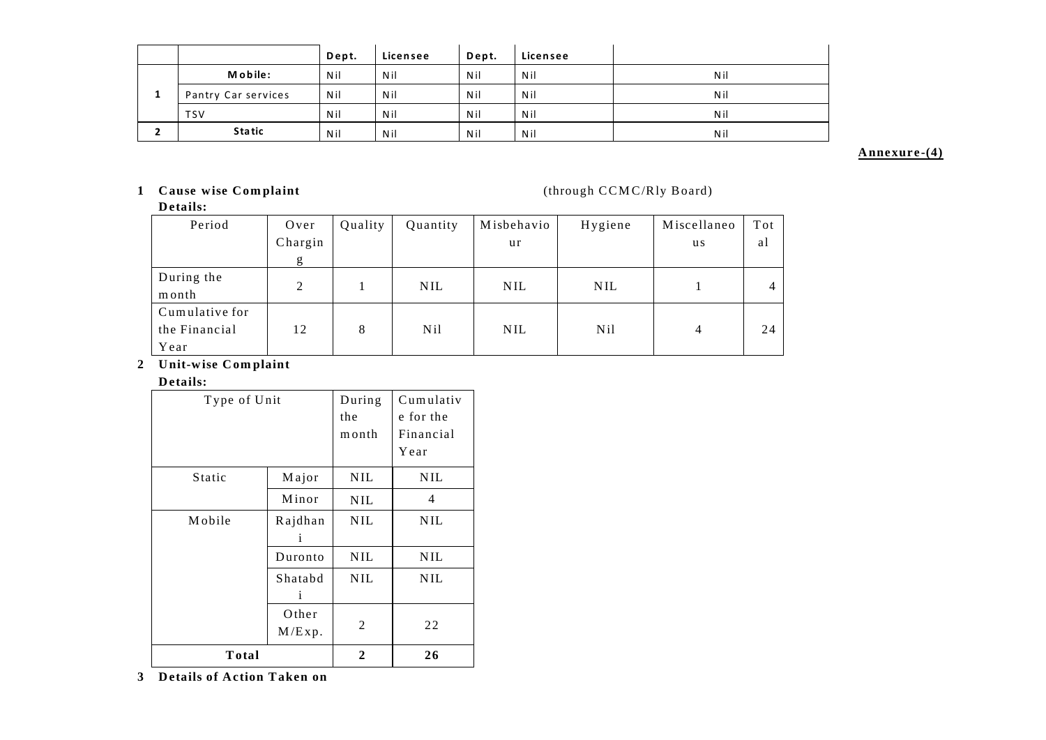|    |                     | Dept. | Licensee | Dept. | Licensee |     |
|----|---------------------|-------|----------|-------|----------|-----|
|    | M o bile:           | Nil   | Nil      | Nil   | Nil      | Nil |
| л. | Pantry Car services | Nil   | Nil      | Nil   | Nil      | Nil |
|    | <b>TSV</b>          | Nil   | Nil      | Nil   | Nil      | Nil |
|    | <b>Static</b>       | Nil   | Nil      | Nil   | Nil      | Nil |

### Annexure-(4)

# 1 Cause wise Complaint

(through CCMC/Rly Board)

| Details:       |                |         |                 |            |                 |                |                |  |
|----------------|----------------|---------|-----------------|------------|-----------------|----------------|----------------|--|
| Period         | Over           | Quality | Quantity        | Misbehavio | Hygiene         | Miscellaneo    | Tot            |  |
|                | Chargin        |         |                 | ur         |                 | u s            | al             |  |
|                | g              |         |                 |            |                 |                |                |  |
| During the     | $\mathfrak{D}$ |         | <b>NIL</b>      | <b>NIL</b> | <b>NIL</b>      |                | $\overline{4}$ |  |
| month          |                |         |                 |            |                 |                |                |  |
| Cumulative for |                |         |                 |            |                 |                |                |  |
| the Financial  | 12             | 8       | N <sub>il</sub> | <b>NIL</b> | N <sub>il</sub> | $\overline{4}$ | 24             |  |
| Year           |                |         |                 |            |                 |                |                |  |

# 2 Unit-wise Complaint

#### Details:

| Type of Unit | During<br>the<br>month | Cumulativ<br>e for the<br>Financial<br>Year |            |  |
|--------------|------------------------|---------------------------------------------|------------|--|
| Static       | Major                  | <b>NIL</b>                                  | <b>NIL</b> |  |
|              | Minor                  | <b>NIL</b>                                  | 4          |  |
| Mobile       | Rajdhan<br>i           | <b>NIL</b>                                  | <b>NIL</b> |  |
|              | Duronto                | <b>NIL</b>                                  | <b>NIL</b> |  |
|              | Shatabd<br>i           | <b>NIL</b>                                  | <b>NIL</b> |  |
|              | 2                      | 22                                          |            |  |
| Total        |                        |                                             |            |  |

3 Details of Action Taken on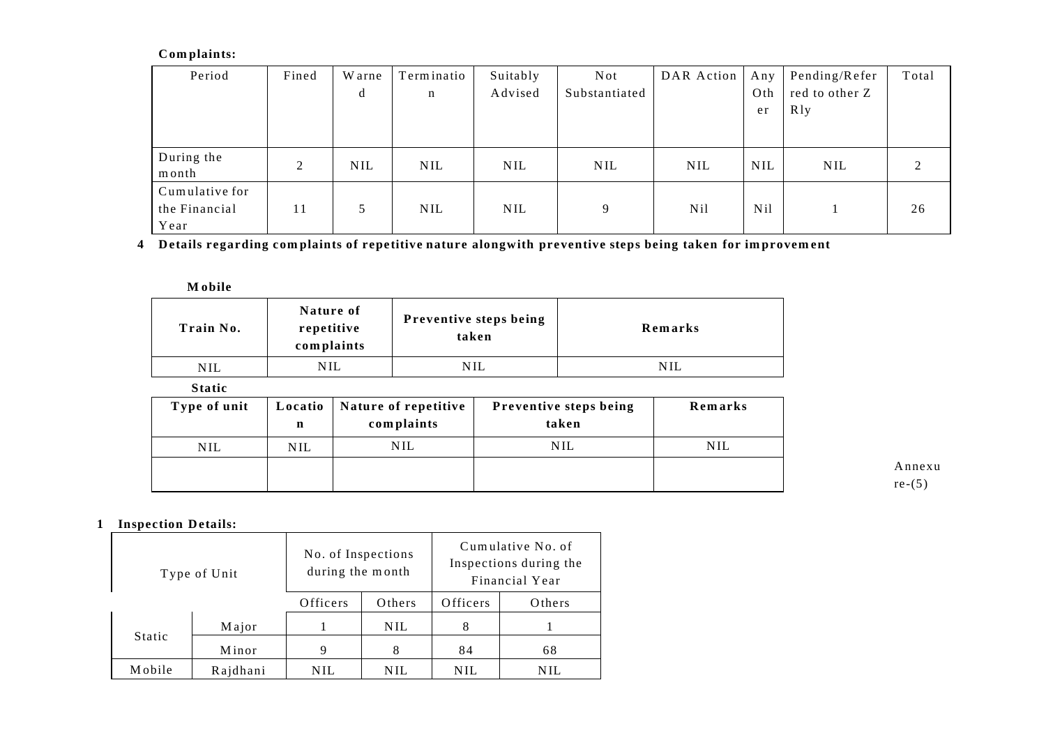# Complaints:

| Period              | Fined | W arne     | Terminatio | Suitably   | <b>Not</b>    | DAR Action | Any             | Pending/Refer  | Total |
|---------------------|-------|------------|------------|------------|---------------|------------|-----------------|----------------|-------|
|                     |       | d          | n          | Advised    | Substantiated |            | Oth             | red to other Z |       |
|                     |       |            |            |            |               |            | er              | R1y            |       |
|                     |       |            |            |            |               |            |                 |                |       |
| During the<br>month | 2     | <b>NIL</b> | <b>NIL</b> | <b>NIL</b> | <b>NIL</b>    | <b>NIL</b> | <b>NIL</b>      | <b>NIL</b>     | 2     |
| Cumulative for      |       |            |            |            |               |            |                 |                |       |
| the Financial       | 11    | 5          | <b>NIL</b> | <b>NIL</b> | 9             | Nil.       | N <sub>il</sub> |                | 26    |
| Year                |       |            |            |            |               |            |                 |                |       |

4 Details regarding complaints of repetitive nature alongwith preventive steps being taken for improvement

**M** obile

| Train No.                 | Nature of<br>repetitive<br>complaints | Preventive steps being<br>taken | Remarks |
|---------------------------|---------------------------------------|---------------------------------|---------|
| NIL                       | <b>NIL</b>                            | <b>NIL</b>                      | NIL     |
| $\mathbf{a}$ $\mathbf{a}$ |                                       |                                 |         |

**Static** 

| Type of unit | Locatio<br>n | Nature of repetitive<br>complaints | Preventive steps being<br>taken | Remarks    |
|--------------|--------------|------------------------------------|---------------------------------|------------|
| NIL          | NIL          | <b>NIL</b>                         | NIL                             | <b>NIL</b> |
|              |              |                                    |                                 |            |

Annexu  $re-(5)$ 

# 1 Inspection Details:

| Type of Unit |          | No. of Inspections<br>during the month |            | Cumulative No. of<br>Inspections during the<br>Financial Year |        |  |
|--------------|----------|----------------------------------------|------------|---------------------------------------------------------------|--------|--|
|              |          | Officers                               | Others     | Officers                                                      | Others |  |
|              | Major    |                                        | <b>NIL</b> | 8                                                             |        |  |
| Static       | Minor    | 9                                      | 8          | 84                                                            | 68     |  |
| Mobile       | Rajdhani | NIL                                    | NIL        | NIL                                                           | NH.    |  |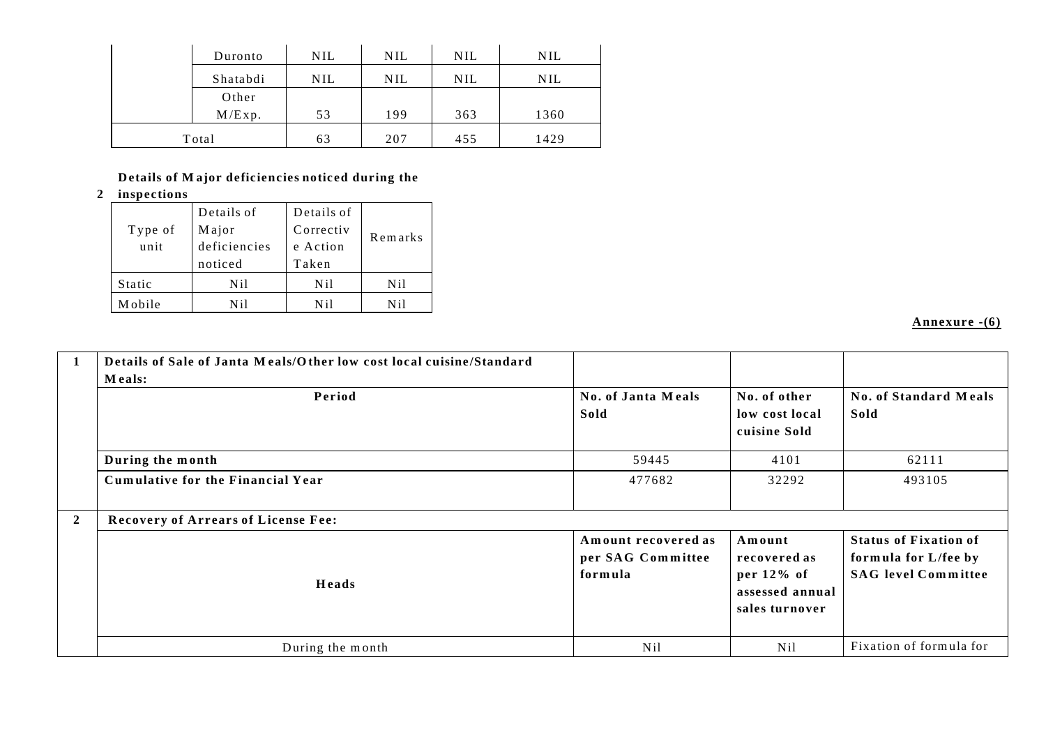|       | Duronto  | <b>NIL</b> | <b>NIL</b> | <b>NIL</b> | <b>NIL</b> |
|-------|----------|------------|------------|------------|------------|
|       | Shatabdi | <b>NIL</b> | NIL        | <b>NIL</b> | NIL        |
|       | Other    |            |            |            |            |
|       | M/Exp.   | 53         | 199        | 363        | 1360       |
| Total |          | 63         | 207        | 455        | 1429       |

# Details of Major deficiencies noticed during the

2 inspections

| Type of<br>unit | Details of<br>Major<br>deficiencies<br>noticed | Details of<br>Correctiv<br>e Action<br>Taken | Remarks         |  |
|-----------------|------------------------------------------------|----------------------------------------------|-----------------|--|
| <b>Static</b>   | Nil                                            | N <sub>il</sub>                              | N <sub>il</sub> |  |
| Mobile          | Nil                                            | N i l                                        | N i l           |  |

Annexure -(6)

|                | Details of Sale of Janta Meals/Other low cost local cuisine/Standard<br>Meals: |                                                     |                                                                           |                                                                                    |  |  |
|----------------|--------------------------------------------------------------------------------|-----------------------------------------------------|---------------------------------------------------------------------------|------------------------------------------------------------------------------------|--|--|
|                | Period                                                                         | No. of Janta Meals<br>Sold                          | No. of other<br>low cost local<br>cuisine Sold                            | <b>No. of Standard Meals</b><br>Sold                                               |  |  |
|                | During the month                                                               | 59445                                               | 4101                                                                      | 62111                                                                              |  |  |
|                | Cumulative for the Financial Year                                              | 477682                                              | 32292                                                                     | 493105                                                                             |  |  |
| $\overline{2}$ | <b>Recovery of Arrears of License Fee:</b>                                     |                                                     |                                                                           |                                                                                    |  |  |
|                | Heads                                                                          | Amount recovered as<br>per SAG Committee<br>formula | Amount<br>recovered as<br>per 12% of<br>assessed annual<br>sales turnover | <b>Status of Fixation of</b><br>formula for L/fee by<br><b>SAG</b> level Committee |  |  |
|                | During the month                                                               | N <sub>il</sub>                                     | N <sub>il</sub>                                                           | Fixation of formula for                                                            |  |  |